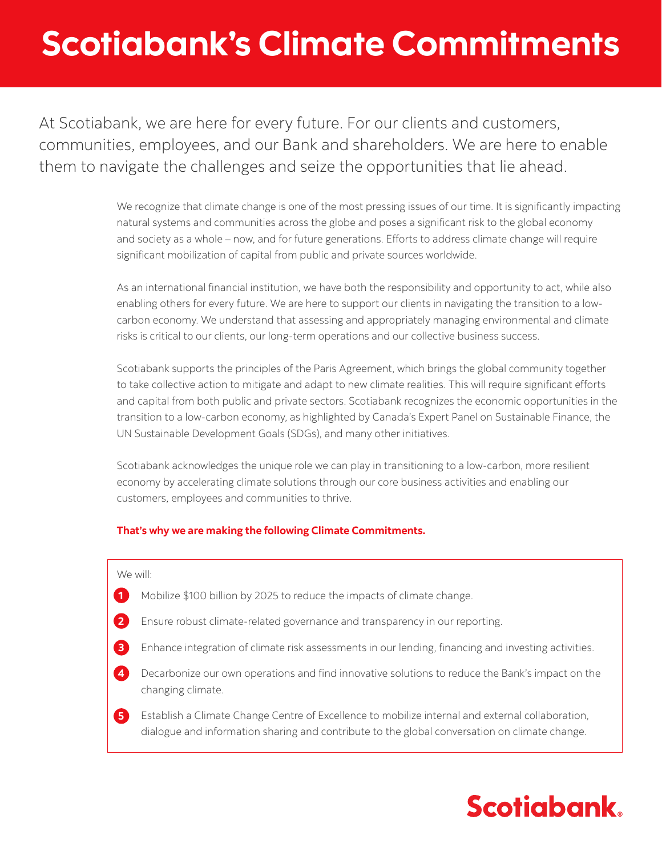# Scotiabank's Climate Commitments

At Scotiabank, we are here for every future. For our clients and customers, communities, employees, and our Bank and shareholders. We are here to enable them to navigate the challenges and seize the opportunities that lie ahead.

> We recognize that climate change is one of the most pressing issues of our time. It is significantly impacting natural systems and communities across the globe and poses a significant risk to the global economy and society as a whole – now, and for future generations. Efforts to address climate change will require significant mobilization of capital from public and private sources worldwide.

As an international financial institution, we have both the responsibility and opportunity to act, while also enabling others for every future. We are here to support our clients in navigating the transition to a lowcarbon economy. We understand that assessing and appropriately managing environmental and climate risks is critical to our clients, our long-term operations and our collective business success.

Scotiabank supports the principles of the Paris Agreement, which brings the global community together to take collective action to mitigate and adapt to new climate realities. This will require significant efforts and capital from both public and private sectors. Scotiabank recognizes the economic opportunities in the transition to a low-carbon economy, as highlighted by Canada's Expert Panel on Sustainable Finance, the UN Sustainable Development Goals (SDGs), and many other initiatives.

Scotiabank acknowledges the unique role we can play in transitioning to a low-carbon, more resilient economy by accelerating climate solutions through our core business activities and enabling our customers, employees and communities to thrive.

#### **That's why we are making the following Climate Commitments.**

#### We will:

- Mobilize \$100 billion by 2025 to reduce the impacts of climate change. **1**
- Ensure robust climate-related governance and transparency in our reporting. **2**
- Enhance integration of climate risk assessments in our lending, financing and investing activities. **3**
- Decarbonize our own operations and find innovative solutions to reduce the Bank's impact on the changing climate. **4**

**5** Establish a Climate Change Centre of Excellence to mobilize internal and external collaboration, dialogue and information sharing and contribute to the global conversation on climate change.

### **Scotiabank**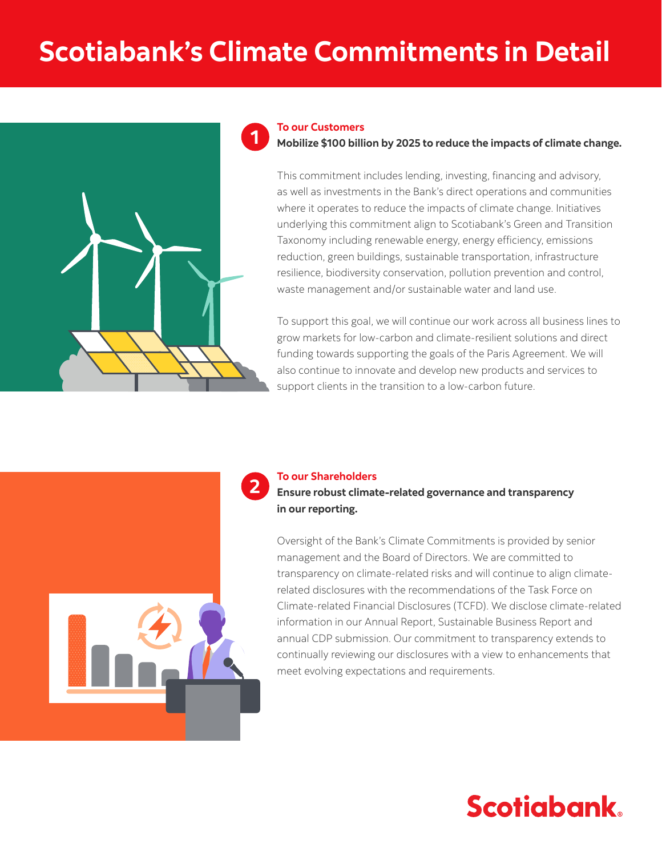# **Scotiabank's Climate Commitments in Detail**





This commitment includes lending, investing, financing and advisory, as well as investments in the Bank's direct operations and communities where it operates to reduce the impacts of climate change. Initiatives underlying this commitment align to Scotiabank's Green and Transition Taxonomy including renewable energy, energy efficiency, emissions reduction, green buildings, sustainable transportation, infrastructure resilience, biodiversity conservation, pollution prevention and control, waste management and/or sustainable water and land use.

To support this goal, we will continue our work across all business lines to grow markets for low-carbon and climate-resilient solutions and direct funding towards supporting the goals of the Paris Agreement. We will also continue to innovate and develop new products and services to support clients in the transition to a low-carbon future.



#### **To our Shareholders**

**2**

**Ensure robust climate-related governance and transparency in our reporting.**

Oversight of the Bank's Climate Commitments is provided by senior management and the Board of Directors. We are committed to transparency on climate-related risks and will continue to align climaterelated disclosures with the recommendations of the Task Force on Climate-related Financial Disclosures (TCFD). We disclose climate-related information in our Annual Report, Sustainable Business Report and annual CDP submission. Our commitment to transparency extends to continually reviewing our disclosures with a view to enhancements that meet evolving expectations and requirements.

### **Scotiabank**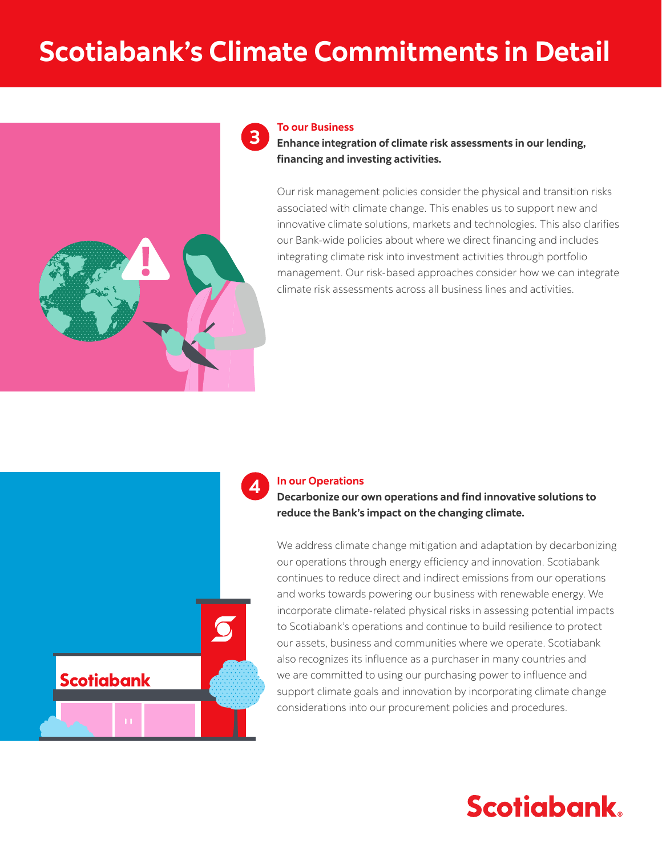# **Scotiabank's Climate Commitments in Detail**



#### **To our Business**

**Enhance integration of climate risk assessments in our lending, financing and investing activities.**

Our risk management policies consider the physical and transition risks associated with climate change. This enables us to support new and innovative climate solutions, markets and technologies. This also clarifies our Bank-wide policies about where we direct financing and includes integrating climate risk into investment activities through portfolio management. Our risk-based approaches consider how we can integrate climate risk assessments across all business lines and activities.



#### **In our Operations**

**Decarbonize our own operations and find innovative solutions to reduce the Bank's impact on the changing climate.**



We address climate change mitigation and adaptation by decarbonizing our operations through energy efficiency and innovation. Scotiabank continues to reduce direct and indirect emissions from our operations and works towards powering our business with renewable energy. We incorporate climate-related physical risks in assessing potential impacts to Scotiabank's operations and continue to build resilience to protect our assets, business and communities where we operate. Scotiabank also recognizes its influence as a purchaser in many countries and we are committed to using our purchasing power to influence and support climate goals and innovation by incorporating climate change considerations into our procurement policies and procedures.

### **Scotiabank**